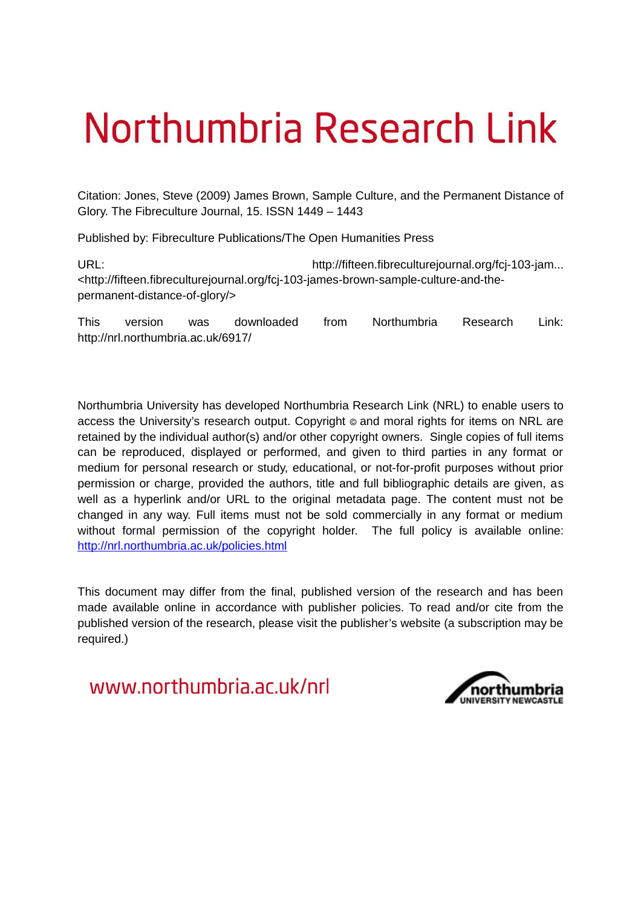# Northumbria Research Link

Citation: Jones, Steve (2009) James Brown, Sample Culture, and the Permanent Distance of Glory. The Fibreculture Journal, 15. ISSN 1449 – 1443

Published by: Fibreculture Publications/The Open Humanities Press

URL: URL: http://fifteen.fibreculturejournal.org/fcj-103-jam... <http://fifteen.fibreculturejournal.org/fcj-103-james-brown-sample-culture-and-thepermanent-distance-of-glory/>

This version was downloaded from Northumbria Research Link: http://nrl.northumbria.ac.uk/6917/

Northumbria University has developed Northumbria Research Link (NRL) to enable users to access the University's research output. Copyright  $\circ$  and moral rights for items on NRL are retained by the individual author(s) and/or other copyright owners. Single copies of full items can be reproduced, displayed or performed, and given to third parties in any format or medium for personal research or study, educational, or not-for-profit purposes without prior permission or charge, provided the authors, title and full bibliographic details are given, as well as a hyperlink and/or URL to the original metadata page. The content must not be changed in any way. Full items must not be sold commercially in any format or medium without formal permission of the copyright holder. The full policy is available online: <http://nrl.northumbria.ac.uk/policies.html>

This document may differ from the final, published version of the research and has been made available online in accordance with publisher policies. To read and/or cite from the published version of the research, please visit the publisher's website (a subscription may be required.)

www.northumbria.ac.uk/nrl

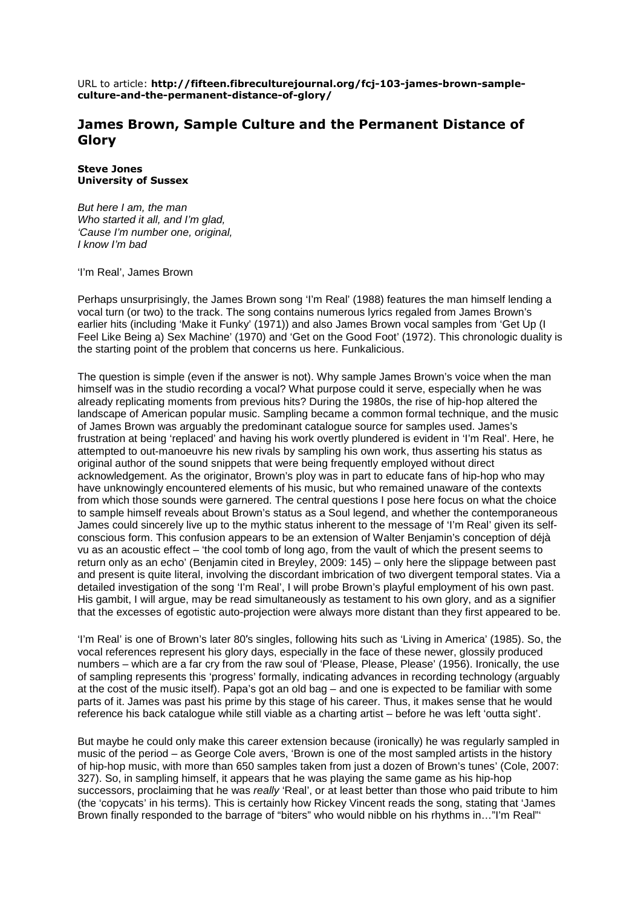URL to article: http://fifteen.fibreculturejournal.org/fcj-103-james-brown-sampleculture-and-the-permanent-distance-of-glory/

## James Brown, Sample Culture and the Permanent Distance of **%**

#### Steve Jones University of Sussex

But here I am, the man Who started it all, and I'm glad, 'Cause I'm number one, original, I know I'm bad

'I'm Real', James Brown

Perhaps unsurprisingly, the James Brown song 'I'm Real' (1988) features the man himself lending a vocal turn (or two) to the track. The song contains numerous lyrics regaled from James Brown's earlier hits (including 'Make it Funky' (1971)) and also James Brown vocal samples from 'Get Up (I Feel Like Being a) Sex Machine' (1970) and 'Get on the Good Foot' (1972). This chronologic duality is the starting point of the problem that concerns us here. Funkalicious.

The question is simple (even if the answer is not). Why sample James Brown's voice when the man himself was in the studio recording a vocal? What purpose could it serve, especially when he was already replicating moments from previous hits? During the 1980s, the rise of hip-hop altered the landscape of American popular music. Sampling became a common formal technique, and the music of James Brown was arguably the predominant catalogue source for samples used. James's frustration at being 'replaced' and having his work overtly plundered is evident in 'I'm Real'. Here, he attempted to out-manoeuvre his new rivals by sampling his own work, thus asserting his status as original author of the sound snippets that were being frequently employed without direct acknowledgement. As the originator, Brown's ploy was in part to educate fans of hip-hop who may have unknowingly encountered elements of his music, but who remained unaware of the contexts from which those sounds were garnered. The central questions I pose here focus on what the choice to sample himself reveals about Brown's status as a Soul legend, and whether the contemporaneous James could sincerely live up to the mythic status inherent to the message of 'I'm Real' given its selfconscious form. This confusion appears to be an extension of Walter Benjamin's conception of déjà vu as an acoustic effect – 'the cool tomb of long ago, from the vault of which the present seems to return only as an echo' (Benjamin cited in Breyley, 2009: 145) – only here the slippage between past and present is quite literal, involving the discordant imbrication of two divergent temporal states. Via a detailed investigation of the song 'I'm Real', I will probe Brown's playful employment of his own past. His gambit, I will argue, may be read simultaneously as testament to his own glory, and as a signifier that the excesses of egotistic auto-projection were always more distant than they first appeared to be.

'I'm Real' is one of Brown's later 80′s singles, following hits such as 'Living in America' (1985). So, the vocal references represent his glory days, especially in the face of these newer, glossily produced numbers – which are a far cry from the raw soul of 'Please, Please, Please' (1956). Ironically, the use of sampling represents this 'progress' formally, indicating advances in recording technology (arguably at the cost of the music itself). Papa's got an old bag – and one is expected to be familiar with some parts of it. James was past his prime by this stage of his career. Thus, it makes sense that he would reference his back catalogue while still viable as a charting artist – before he was left 'outta sight'.

But maybe he could only make this career extension because (ironically) he was regularly sampled in music of the period – as George Cole avers, 'Brown is one of the most sampled artists in the history of hip-hop music, with more than 650 samples taken from just a dozen of Brown's tunes' (Cole, 2007: 327). So, in sampling himself, it appears that he was playing the same game as his hip-hop successors, proclaiming that he was *really* 'Real', or at least better than those who paid tribute to him (the 'copycats' in his terms). This is certainly how Rickey Vincent reads the song, stating that 'James Brown finally responded to the barrage of "biters" who would nibble on his rhythms in…"I'm Real"'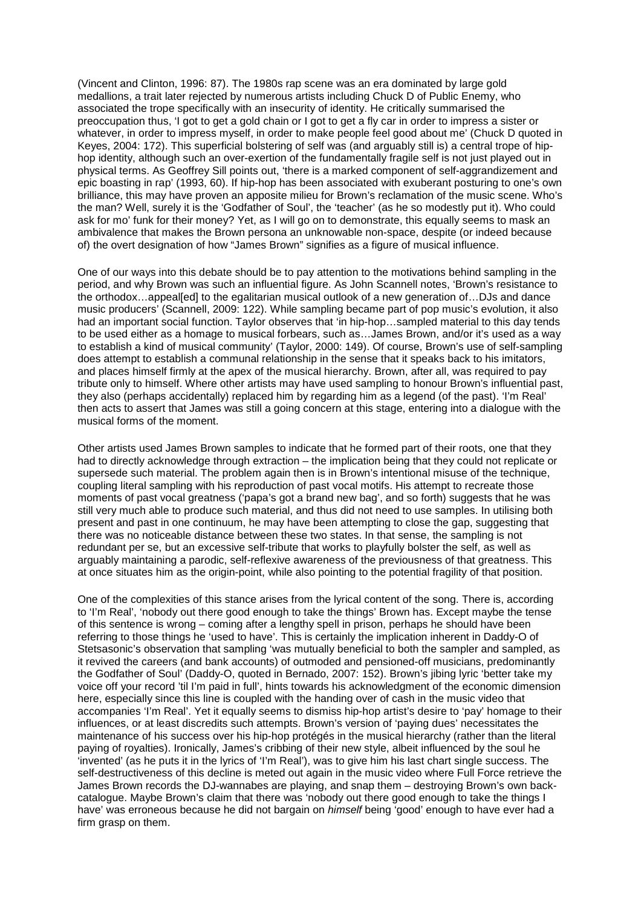(Vincent and Clinton, 1996: 87). The 1980s rap scene was an era dominated by large gold medallions, a trait later rejected by numerous artists including Chuck D of Public Enemy, who associated the trope specifically with an insecurity of identity. He critically summarised the preoccupation thus, 'I got to get a gold chain or I got to get a fly car in order to impress a sister or whatever, in order to impress myself, in order to make people feel good about me' (Chuck D quoted in Keyes, 2004: 172). This superficial bolstering of self was (and arguably still is) a central trope of hiphop identity, although such an over-exertion of the fundamentally fragile self is not just played out in physical terms. As Geoffrey Sill points out, 'there is a marked component of self-aggrandizement and epic boasting in rap' (1993, 60). If hip-hop has been associated with exuberant posturing to one's own brilliance, this may have proven an apposite milieu for Brown's reclamation of the music scene. Who's the man? Well, surely it is the 'Godfather of Soul', the 'teacher' (as he so modestly put it). Who could ask for mo' funk for their money? Yet, as I will go on to demonstrate, this equally seems to mask an ambivalence that makes the Brown persona an unknowable non-space, despite (or indeed because of) the overt designation of how "James Brown" signifies as a figure of musical influence.

One of our ways into this debate should be to pay attention to the motivations behind sampling in the period, and why Brown was such an influential figure. As John Scannell notes, 'Brown's resistance to the orthodox…appeal[ed] to the egalitarian musical outlook of a new generation of…DJs and dance music producers' (Scannell, 2009: 122). While sampling became part of pop music's evolution, it also had an important social function. Taylor observes that 'in hip-hop...sampled material to this day tends to be used either as a homage to musical forbears, such as…James Brown, and/or it's used as a way to establish a kind of musical community' (Taylor, 2000: 149). Of course, Brown's use of self-sampling does attempt to establish a communal relationship in the sense that it speaks back to his imitators, and places himself firmly at the apex of the musical hierarchy. Brown, after all, was required to pay tribute only to himself. Where other artists may have used sampling to honour Brown's influential past, they also (perhaps accidentally) replaced him by regarding him as a legend (of the past). 'I'm Real' then acts to assert that James was still a going concern at this stage, entering into a dialogue with the musical forms of the moment.

Other artists used James Brown samples to indicate that he formed part of their roots, one that they had to directly acknowledge through extraction – the implication being that they could not replicate or supersede such material. The problem again then is in Brown's intentional misuse of the technique, coupling literal sampling with his reproduction of past vocal motifs. His attempt to recreate those moments of past vocal greatness ('papa's got a brand new bag', and so forth) suggests that he was still very much able to produce such material, and thus did not need to use samples. In utilising both present and past in one continuum, he may have been attempting to close the gap, suggesting that there was no noticeable distance between these two states. In that sense, the sampling is not redundant per se, but an excessive self-tribute that works to playfully bolster the self, as well as arguably maintaining a parodic, self-reflexive awareness of the previousness of that greatness. This at once situates him as the origin-point, while also pointing to the potential fragility of that position.

One of the complexities of this stance arises from the lyrical content of the song. There is, according to 'I'm Real', 'nobody out there good enough to take the things' Brown has. Except maybe the tense of this sentence is wrong – coming after a lengthy spell in prison, perhaps he should have been referring to those things he 'used to have'. This is certainly the implication inherent in Daddy-O of Stetsasonic's observation that sampling 'was mutually beneficial to both the sampler and sampled, as it revived the careers (and bank accounts) of outmoded and pensioned-off musicians, predominantly the Godfather of Soul' (Daddy-O, quoted in Bernado, 2007: 152). Brown's jibing lyric 'better take my voice off your record 'til I'm paid in full', hints towards his acknowledgment of the economic dimension here, especially since this line is coupled with the handing over of cash in the music video that accompanies 'I'm Real'. Yet it equally seems to dismiss hip-hop artist's desire to 'pay' homage to their influences, or at least discredits such attempts. Brown's version of 'paying dues' necessitates the maintenance of his success over his hip-hop protégés in the musical hierarchy (rather than the literal paying of royalties). Ironically, James's cribbing of their new style, albeit influenced by the soul he 'invented' (as he puts it in the lyrics of 'I'm Real'), was to give him his last chart single success. The self-destructiveness of this decline is meted out again in the music video where Full Force retrieve the James Brown records the DJ-wannabes are playing, and snap them – destroying Brown's own backcatalogue. Maybe Brown's claim that there was 'nobody out there good enough to take the things I have' was erroneous because he did not bargain on *himself* being 'good' enough to have ever had a firm grasp on them.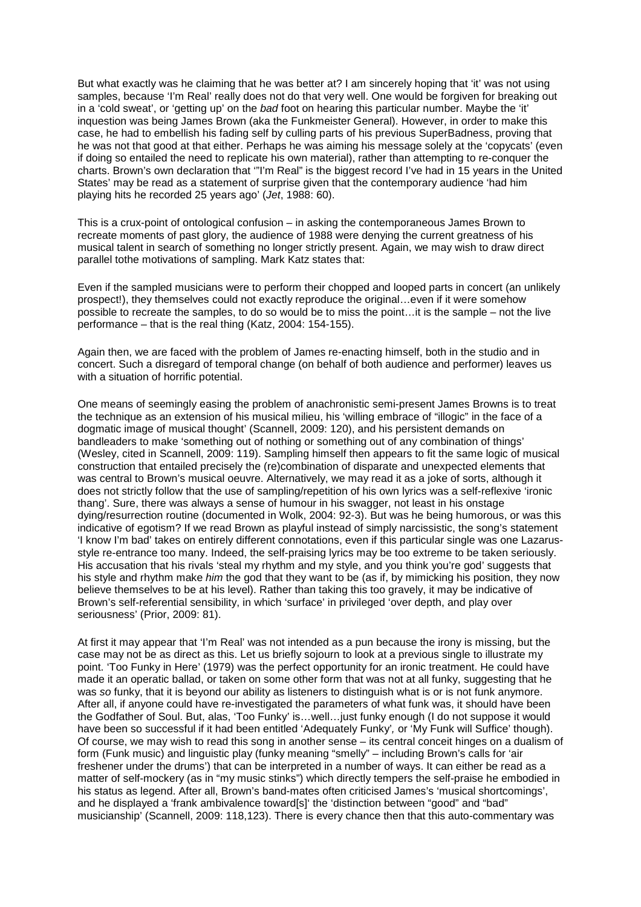But what exactly was he claiming that he was better at? I am sincerely hoping that 'it' was not using samples, because 'I'm Real' really does not do that very well. One would be forgiven for breaking out in a 'cold sweat', or 'getting up' on the bad foot on hearing this particular number. Maybe the 'it' inquestion was being James Brown (aka the Funkmeister General). However, in order to make this case, he had to embellish his fading self by culling parts of his previous SuperBadness, proving that he was not that good at that either. Perhaps he was aiming his message solely at the 'copycats' (even if doing so entailed the need to replicate his own material), rather than attempting to re-conquer the charts. Brown's own declaration that '"I'm Real" is the biggest record I've had in 15 years in the United States' may be read as a statement of surprise given that the contemporary audience 'had him playing hits he recorded 25 years ago' (Jet, 1988: 60).

This is a crux-point of ontological confusion – in asking the contemporaneous James Brown to recreate moments of past glory, the audience of 1988 were denying the current greatness of his musical talent in search of something no longer strictly present. Again, we may wish to draw direct parallel tothe motivations of sampling. Mark Katz states that:

Even if the sampled musicians were to perform their chopped and looped parts in concert (an unlikely prospect!), they themselves could not exactly reproduce the original…even if it were somehow possible to recreate the samples, to do so would be to miss the point…it is the sample – not the live performance – that is the real thing (Katz, 2004: 154-155).

Again then, we are faced with the problem of James re-enacting himself, both in the studio and in concert. Such a disregard of temporal change (on behalf of both audience and performer) leaves us with a situation of horrific potential.

One means of seemingly easing the problem of anachronistic semi-present James Browns is to treat the technique as an extension of his musical milieu, his 'willing embrace of "illogic" in the face of a dogmatic image of musical thought' (Scannell, 2009: 120), and his persistent demands on bandleaders to make 'something out of nothing or something out of any combination of things' (Wesley, cited in Scannell, 2009: 119). Sampling himself then appears to fit the same logic of musical construction that entailed precisely the (re)combination of disparate and unexpected elements that was central to Brown's musical oeuvre. Alternatively, we may read it as a joke of sorts, although it does not strictly follow that the use of sampling/repetition of his own lyrics was a self-reflexive 'ironic thang'. Sure, there was always a sense of humour in his swagger, not least in his onstage dying/resurrection routine (documented in Wolk, 2004: 92-3). But was he being humorous, or was this indicative of egotism? If we read Brown as playful instead of simply narcissistic, the song's statement 'I know I'm bad' takes on entirely different connotations, even if this particular single was one Lazarusstyle re-entrance too many. Indeed, the self-praising lyrics may be too extreme to be taken seriously. His accusation that his rivals 'steal my rhythm and my style, and you think you're god' suggests that his style and rhythm make him the god that they want to be (as if, by mimicking his position, they now believe themselves to be at his level). Rather than taking this too gravely, it may be indicative of Brown's self-referential sensibility, in which 'surface' in privileged 'over depth, and play over seriousness' (Prior, 2009: 81).

At first it may appear that 'I'm Real' was not intended as a pun because the irony is missing, but the case may not be as direct as this. Let us briefly sojourn to look at a previous single to illustrate my point. 'Too Funky in Here' (1979) was the perfect opportunity for an ironic treatment. He could have made it an operatic ballad, or taken on some other form that was not at all funky, suggesting that he was so funky, that it is beyond our ability as listeners to distinguish what is or is not funk anymore. After all, if anyone could have re-investigated the parameters of what funk was, it should have been the Godfather of Soul. But, alas, 'Too Funky' is…well…just funky enough (I do not suppose it would have been so successful if it had been entitled 'Adequately Funky', or 'My Funk will Suffice' though). Of course, we may wish to read this song in another sense – its central conceit hinges on a dualism of form (Funk music) and linguistic play (funky meaning "smelly" – including Brown's calls for 'air freshener under the drums') that can be interpreted in a number of ways. It can either be read as a matter of self-mockery (as in "my music stinks") which directly tempers the self-praise he embodied in his status as legend. After all, Brown's band-mates often criticised James's 'musical shortcomings', and he displayed a 'frank ambivalence toward[s]' the 'distinction between "good" and "bad" musicianship' (Scannell, 2009: 118,123). There is every chance then that this auto-commentary was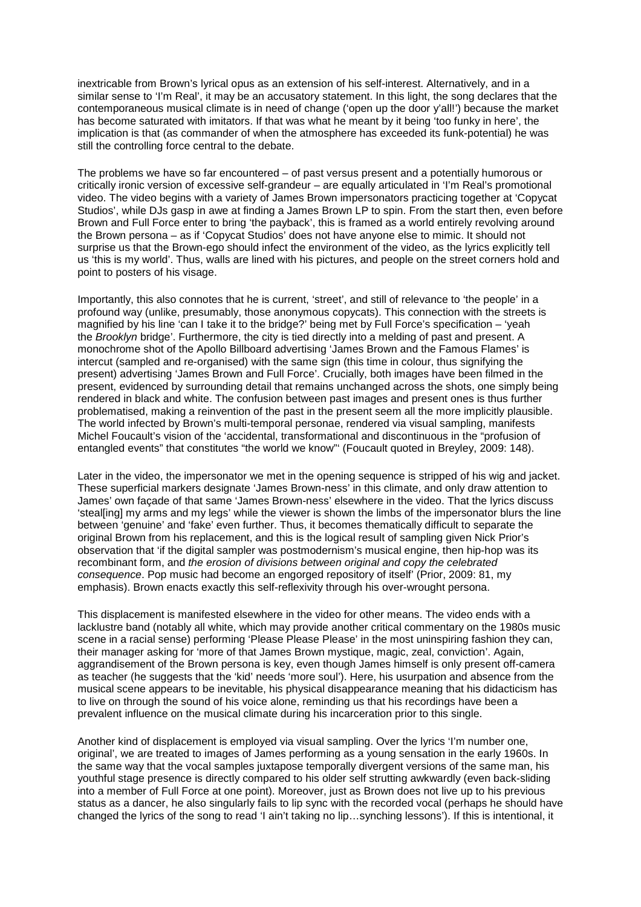inextricable from Brown's lyrical opus as an extension of his self-interest. Alternatively, and in a similar sense to 'I'm Real', it may be an accusatory statement. In this light, the song declares that the contemporaneous musical climate is in need of change ('open up the door y'all!') because the market has become saturated with imitators. If that was what he meant by it being 'too funky in here', the implication is that (as commander of when the atmosphere has exceeded its funk-potential) he was still the controlling force central to the debate.

The problems we have so far encountered – of past versus present and a potentially humorous or critically ironic version of excessive self-grandeur – are equally articulated in 'I'm Real's promotional video. The video begins with a variety of James Brown impersonators practicing together at 'Copycat Studios', while DJs gasp in awe at finding a James Brown LP to spin. From the start then, even before Brown and Full Force enter to bring 'the payback', this is framed as a world entirely revolving around the Brown persona – as if 'Copycat Studios' does not have anyone else to mimic. It should not surprise us that the Brown-ego should infect the environment of the video, as the lyrics explicitly tell us 'this is my world'. Thus, walls are lined with his pictures, and people on the street corners hold and point to posters of his visage.

Importantly, this also connotes that he is current, 'street', and still of relevance to 'the people' in a profound way (unlike, presumably, those anonymous copycats). This connection with the streets is magnified by his line 'can I take it to the bridge?' being met by Full Force's specification – 'yeah the Brooklyn bridge'. Furthermore, the city is tied directly into a melding of past and present. A monochrome shot of the Apollo Billboard advertising 'James Brown and the Famous Flames' is intercut (sampled and re-organised) with the same sign (this time in colour, thus signifying the present) advertising 'James Brown and Full Force'. Crucially, both images have been filmed in the present. evidenced by surrounding detail that remains unchanged across the shots, one simply being rendered in black and white. The confusion between past images and present ones is thus further problematised, making a reinvention of the past in the present seem all the more implicitly plausible. The world infected by Brown's multi-temporal personae, rendered via visual sampling, manifests Michel Foucault's vision of the 'accidental, transformational and discontinuous in the "profusion of entangled events" that constitutes "the world we know"' (Foucault quoted in Breyley, 2009: 148).

Later in the video, the impersonator we met in the opening sequence is stripped of his wig and jacket. These superficial markers designate 'James Brown-ness' in this climate, and only draw attention to James' own façade of that same 'James Brown-ness' elsewhere in the video. That the lyrics discuss 'steal[ing] my arms and my legs' while the viewer is shown the limbs of the impersonator blurs the line between 'genuine' and 'fake' even further. Thus, it becomes thematically difficult to separate the original Brown from his replacement, and this is the logical result of sampling given Nick Prior's observation that 'if the digital sampler was postmodernism's musical engine, then hip-hop was its recombinant form, and the erosion of divisions between original and copy the celebrated consequence. Pop music had become an engorged repository of itself' (Prior, 2009: 81, my emphasis). Brown enacts exactly this self-reflexivity through his over-wrought persona.

This displacement is manifested elsewhere in the video for other means. The video ends with a lacklustre band (notably all white, which may provide another critical commentary on the 1980s music scene in a racial sense) performing 'Please Please Please' in the most uninspiring fashion they can, their manager asking for 'more of that James Brown mystique, magic, zeal, conviction'. Again, aggrandisement of the Brown persona is key, even though James himself is only present off-camera as teacher (he suggests that the 'kid' needs 'more soul'). Here, his usurpation and absence from the musical scene appears to be inevitable, his physical disappearance meaning that his didacticism has to live on through the sound of his voice alone, reminding us that his recordings have been a prevalent influence on the musical climate during his incarceration prior to this single.

Another kind of displacement is employed via visual sampling. Over the lyrics 'I'm number one, original', we are treated to images of James performing as a young sensation in the early 1960s. In the same way that the vocal samples juxtapose temporally divergent versions of the same man, his youthful stage presence is directly compared to his older self strutting awkwardly (even back-sliding into a member of Full Force at one point). Moreover, just as Brown does not live up to his previous status as a dancer, he also singularly fails to lip sync with the recorded vocal (perhaps he should have changed the lyrics of the song to read 'I ain't taking no lip…synching lessons'). If this is intentional, it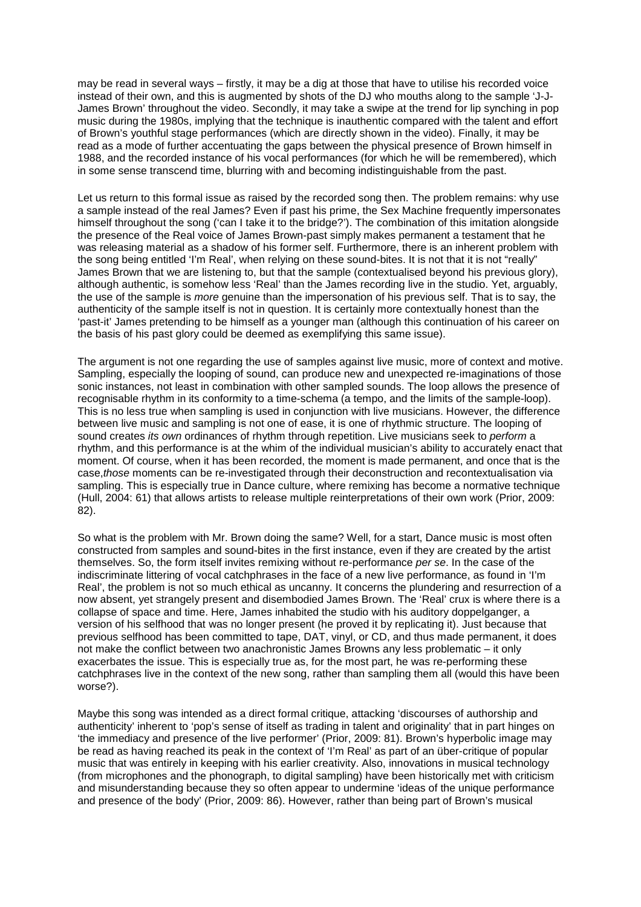may be read in several ways – firstly, it may be a dig at those that have to utilise his recorded voice instead of their own, and this is augmented by shots of the DJ who mouths along to the sample 'J-J-James Brown' throughout the video. Secondly, it may take a swipe at the trend for lip synching in pop music during the 1980s, implying that the technique is inauthentic compared with the talent and effort of Brown's youthful stage performances (which are directly shown in the video). Finally, it may be read as a mode of further accentuating the gaps between the physical presence of Brown himself in 1988, and the recorded instance of his vocal performances (for which he will be remembered), which in some sense transcend time, blurring with and becoming indistinguishable from the past.

Let us return to this formal issue as raised by the recorded song then. The problem remains: why use a sample instead of the real James? Even if past his prime, the Sex Machine frequently impersonates himself throughout the song ('can I take it to the bridge?'). The combination of this imitation alongside the presence of the Real voice of James Brown-past simply makes permanent a testament that he was releasing material as a shadow of his former self. Furthermore, there is an inherent problem with the song being entitled 'I'm Real', when relying on these sound-bites. It is not that it is not "really" James Brown that we are listening to, but that the sample (contextualised beyond his previous glory), although authentic, is somehow less 'Real' than the James recording live in the studio. Yet, arguably, the use of the sample is more genuine than the impersonation of his previous self. That is to say, the authenticity of the sample itself is not in question. It is certainly more contextually honest than the 'past-it' James pretending to be himself as a younger man (although this continuation of his career on the basis of his past glory could be deemed as exemplifying this same issue).

The argument is not one regarding the use of samples against live music, more of context and motive. Sampling, especially the looping of sound, can produce new and unexpected re-imaginations of those sonic instances, not least in combination with other sampled sounds. The loop allows the presence of recognisable rhythm in its conformity to a time-schema (a tempo, and the limits of the sample-loop). This is no less true when sampling is used in conjunction with live musicians. However, the difference between live music and sampling is not one of ease, it is one of rhythmic structure. The looping of sound creates its own ordinances of rhythm through repetition. Live musicians seek to perform a rhythm, and this performance is at the whim of the individual musician's ability to accurately enact that moment. Of course, when it has been recorded, the moment is made permanent, and once that is the case,those moments can be re-investigated through their deconstruction and recontextualisation via sampling. This is especially true in Dance culture, where remixing has become a normative technique (Hull, 2004: 61) that allows artists to release multiple reinterpretations of their own work (Prior, 2009: 82).

So what is the problem with Mr. Brown doing the same? Well, for a start, Dance music is most often constructed from samples and sound-bites in the first instance, even if they are created by the artist themselves. So, the form itself invites remixing without re-performance per se. In the case of the indiscriminate littering of vocal catchphrases in the face of a new live performance, as found in 'I'm Real', the problem is not so much ethical as uncanny. It concerns the plundering and resurrection of a now absent, yet strangely present and disembodied James Brown. The 'Real' crux is where there is a collapse of space and time. Here, James inhabited the studio with his auditory doppelganger, a version of his selfhood that was no longer present (he proved it by replicating it). Just because that previous selfhood has been committed to tape, DAT, vinyl, or CD, and thus made permanent, it does not make the conflict between two anachronistic James Browns any less problematic – it only exacerbates the issue. This is especially true as, for the most part, he was re-performing these catchphrases live in the context of the new song, rather than sampling them all (would this have been worse?).

Maybe this song was intended as a direct formal critique, attacking 'discourses of authorship and authenticity' inherent to 'pop's sense of itself as trading in talent and originality' that in part hinges on 'the immediacy and presence of the live performer' (Prior, 2009: 81). Brown's hyperbolic image may be read as having reached its peak in the context of 'I'm Real' as part of an über-critique of popular music that was entirely in keeping with his earlier creativity. Also, innovations in musical technology (from microphones and the phonograph, to digital sampling) have been historically met with criticism and misunderstanding because they so often appear to undermine 'ideas of the unique performance and presence of the body' (Prior, 2009: 86). However, rather than being part of Brown's musical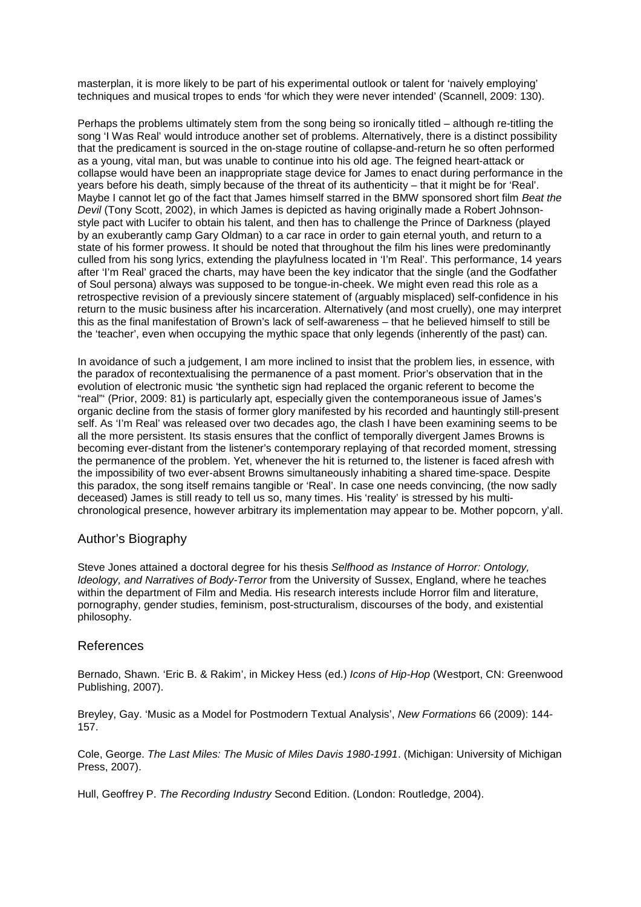masterplan, it is more likely to be part of his experimental outlook or talent for 'naively employing' techniques and musical tropes to ends 'for which they were never intended' (Scannell, 2009: 130).

Perhaps the problems ultimately stem from the song being so ironically titled – although re-titling the song 'I Was Real' would introduce another set of problems. Alternatively, there is a distinct possibility that the predicament is sourced in the on-stage routine of collapse-and-return he so often performed as a young, vital man, but was unable to continue into his old age. The feigned heart-attack or collapse would have been an inappropriate stage device for James to enact during performance in the years before his death, simply because of the threat of its authenticity – that it might be for 'Real'. Maybe I cannot let go of the fact that James himself starred in the BMW sponsored short film Beat the Devil (Tony Scott, 2002), in which James is depicted as having originally made a Robert Johnsonstyle pact with Lucifer to obtain his talent, and then has to challenge the Prince of Darkness (played by an exuberantly camp Gary Oldman) to a car race in order to gain eternal youth, and return to a state of his former prowess. It should be noted that throughout the film his lines were predominantly culled from his song lyrics, extending the playfulness located in 'I'm Real'. This performance, 14 years after 'I'm Real' graced the charts, may have been the key indicator that the single (and the Godfather of Soul persona) always was supposed to be tongue-in-cheek. We might even read this role as a retrospective revision of a previously sincere statement of (arguably misplaced) self-confidence in his return to the music business after his incarceration. Alternatively (and most cruelly), one may interpret this as the final manifestation of Brown's lack of self-awareness – that he believed himself to still be the 'teacher', even when occupying the mythic space that only legends (inherently of the past) can.

In avoidance of such a judgement, I am more inclined to insist that the problem lies, in essence, with the paradox of recontextualising the permanence of a past moment. Prior's observation that in the evolution of electronic music 'the synthetic sign had replaced the organic referent to become the "real"' (Prior, 2009: 81) is particularly apt, especially given the contemporaneous issue of James's organic decline from the stasis of former glory manifested by his recorded and hauntingly still-present self. As 'I'm Real' was released over two decades ago, the clash I have been examining seems to be all the more persistent. Its stasis ensures that the conflict of temporally divergent James Browns is becoming ever-distant from the listener's contemporary replaying of that recorded moment, stressing the permanence of the problem. Yet, whenever the hit is returned to, the listener is faced afresh with the impossibility of two ever-absent Browns simultaneously inhabiting a shared time-space. Despite this paradox, the song itself remains tangible or 'Real'. In case one needs convincing, (the now sadly deceased) James is still ready to tell us so, many times. His 'reality' is stressed by his multichronological presence, however arbitrary its implementation may appear to be. Mother popcorn, y'all.

## Author's Biography

Steve Jones attained a doctoral degree for his thesis Selfhood as Instance of Horror: Ontology, Ideology, and Narratives of Body-Terror from the University of Sussex, England, where he teaches within the department of Film and Media. His research interests include Horror film and literature, pornography, gender studies, feminism, post-structuralism, discourses of the body, and existential philosophy.

### References

Bernado, Shawn. 'Eric B. & Rakim', in Mickey Hess (ed.) Icons of Hip-Hop (Westport, CN: Greenwood Publishing, 2007).

Breyley, Gay. 'Music as a Model for Postmodern Textual Analysis', New Formations 66 (2009): 144- 157.

Cole, George. The Last Miles: The Music of Miles Davis 1980-1991. (Michigan: University of Michigan Press, 2007).

Hull, Geoffrey P. The Recording Industry Second Edition. (London: Routledge, 2004).